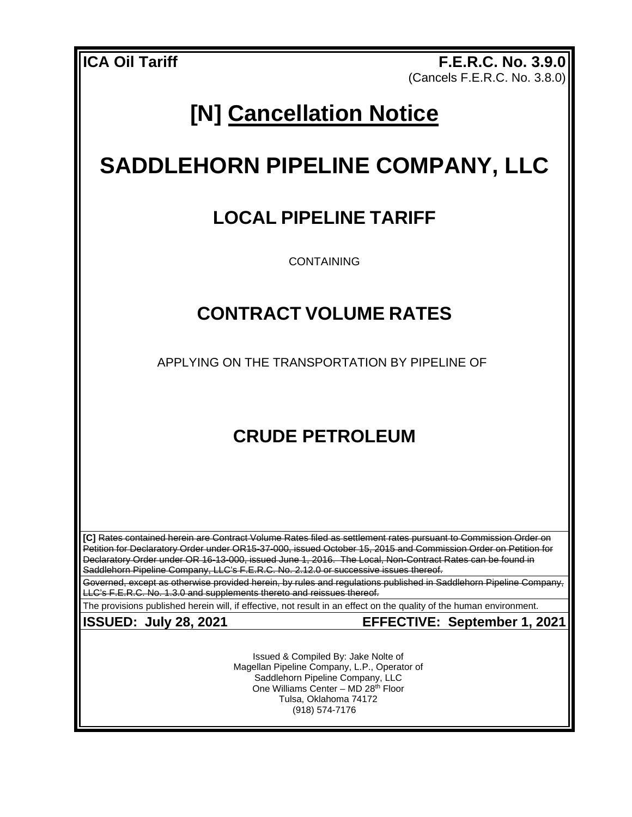**ICA Oil Tariff F.E.R.C. No. 3.9.0** (Cancels F.E.R.C. No. 3.8.0)

# **[N] Cancellation Notice**

## **SADDLEHORN PIPELINE COMPANY, LLC**

### **LOCAL PIPELINE TARIFF**

CONTAINING

#### **CONTRACT VOLUME RATES**

APPLYING ON THE TRANSPORTATION BY PIPELINE OF

### **CRUDE PETROLEUM**

**[C]** Rates contained herein are Contract Volume Rates filed as settlement rates pursuant to Commission Order on Petition for Declaratory Order under OR15-37-000, issued October 15, 2015 and Commission Order on Petition for Declaratory Order under OR 16-13-000, issued June 1, 2016. The Local, Non-Contract Rates can be found in Saddlehorn Pipeline Company, LLC's F.E.R.C. No. 2.12.0 or successive issues thereof.

Governed, except as otherwise provided herein, by rules and regulations published in Saddlehorn Pipeline Company, LLC's F.E.R.C. No. 1.3.0 and supplements thereto and reissues thereof.

The provisions published herein will, if effective, not result in an effect on the quality of the human environment.

**ISSUED: July 28, 2021 EFFECTIVE: September 1, 2021**

Issued & Compiled By: Jake Nolte of Magellan Pipeline Company, L.P., Operator of Saddlehorn Pipeline Company, LLC One Williams Center - MD 28<sup>th</sup> Floor Tulsa, Oklahoma 74172 (918) 574-7176